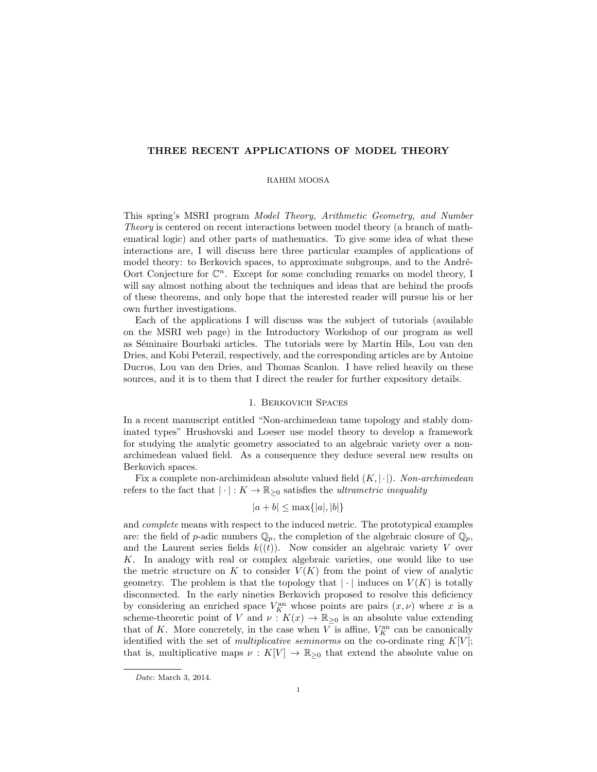## THREE RECENT APPLICATIONS OF MODEL THEORY

### RAHIM MOOSA

This spring's MSRI program Model Theory, Arithmetic Geometry, and Number Theory is centered on recent interactions between model theory (a branch of mathematical logic) and other parts of mathematics. To give some idea of what these interactions are, I will discuss here three particular examples of applications of model theory: to Berkovich spaces, to approximate subgroups, and to the André-Oort Conjecture for  $\mathbb{C}^n$ . Except for some concluding remarks on model theory, I will say almost nothing about the techniques and ideas that are behind the proofs of these theorems, and only hope that the interested reader will pursue his or her own further investigations.

Each of the applications I will discuss was the subject of tutorials (available on the MSRI web page) in the Introductory Workshop of our program as well as Séminaire Bourbaki articles. The tutorials were by Martin Hils, Lou van den Dries, and Kobi Peterzil, respectively, and the corresponding articles are by Antoine Ducros, Lou van den Dries, and Thomas Scanlon. I have relied heavily on these sources, and it is to them that I direct the reader for further expository details.

### 1. Berkovich Spaces

In a recent manuscript entitled "Non-archimedean tame topology and stably dominated types" Hrushovski and Loeser use model theory to develop a framework for studying the analytic geometry associated to an algebraic variety over a nonarchimedean valued field. As a consequence they deduce several new results on Berkovich spaces.

Fix a complete non-archimidean absolute valued field  $(K, |\cdot|)$ . Non-archimedean refers to the fact that  $|\cdot|: K \to \mathbb{R}_{\geq 0}$  satisfies the *ultrametric inequality* 

$$
|a+b| \le \max\{|a|, |b|\}
$$

and complete means with respect to the induced metric. The prototypical examples are: the field of p-adic numbers  $\mathbb{Q}_p$ , the completion of the algebraic closure of  $\mathbb{Q}_p$ , and the Laurent series fields  $k((t))$ . Now consider an algebraic variety V over K. In analogy with real or complex algebraic varieties, one would like to use the metric structure on K to consider  $V(K)$  from the point of view of analytic geometry. The problem is that the topology that  $|\cdot|$  induces on  $V(K)$  is totally disconnected. In the early nineties Berkovich proposed to resolve this deficiency by considering an enriched space  $V_K^{\text{an}}$  whose points are pairs  $(x, \nu)$  where x is a scheme-theoretic point of V and  $\nu : K(x) \to \mathbb{R}_{\geq 0}$  is an absolute value extending that of K. More concretely, in the case when  $\overline{V}$  is affine,  $V_K^{\text{an}}$  can be canonically identified with the set of *multiplicative seminorms* on the co-ordinate ring  $K[V]$ ; that is, multiplicative maps  $\nu : K[V] \to \mathbb{R}_{\geq 0}$  that extend the absolute value on

Date: March 3, 2014.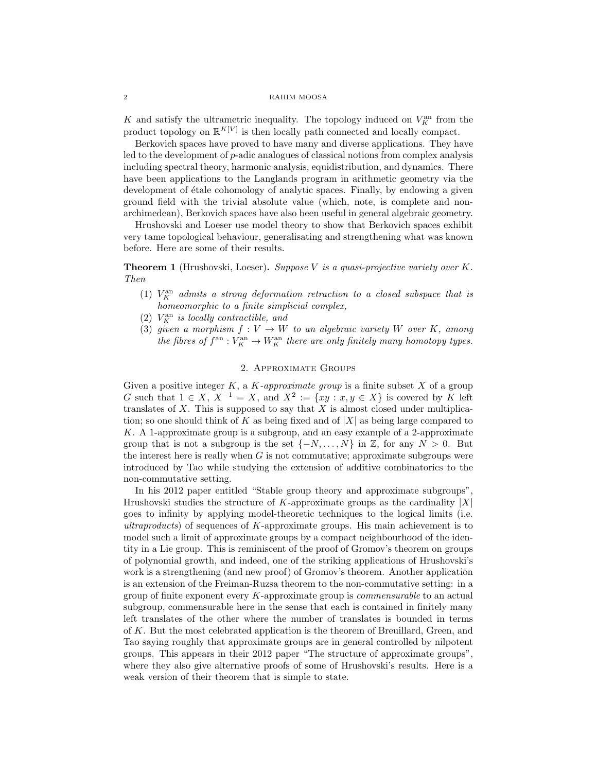#### 2 RAHIM MOOSA

K and satisfy the ultrametric inequality. The topology induced on  $V_K^{\text{an}}$  from the product topology on  $\mathbb{R}^{K[V]}$  is then locally path connected and locally compact.

Berkovich spaces have proved to have many and diverse applications. They have led to the development of p-adic analogues of classical notions from complex analysis including spectral theory, harmonic analysis, equidistribution, and dynamics. There have been applications to the Langlands program in arithmetic geometry via the development of étale cohomology of analytic spaces. Finally, by endowing a given ground field with the trivial absolute value (which, note, is complete and nonarchimedean), Berkovich spaces have also been useful in general algebraic geometry.

Hrushovski and Loeser use model theory to show that Berkovich spaces exhibit very tame topological behaviour, generalisating and strengthening what was known before. Here are some of their results.

**Theorem 1** (Hrushovski, Loeser). Suppose V is a quasi-projective variety over  $K$ . Then

- (1)  $V_K^{\text{an}}$  admits a strong deformation retraction to a closed subspace that is homeomorphic to a finite simplicial complex,
- (2)  $V_K^{\text{an}}$  is locally contractible, and
- (3) given a morphism  $f: V \to W$  to an algebraic variety W over K, among the fibres of  $f^{\text{an}} : V_K^{\text{an}} \to W_K^{\text{an}}$  there are only finitely many homotopy types.

# 2. Approximate Groups

Given a positive integer  $K$ , a  $K$ -approximate group is a finite subset  $X$  of a group G such that  $1 \in X$ ,  $X^{-1} = X$ , and  $X^2 := \{xy : x, y \in X\}$  is covered by K left translates of  $X$ . This is supposed to say that  $X$  is almost closed under multiplication; so one should think of K as being fixed and of  $|X|$  as being large compared to K. A 1-approximate group is a subgroup, and an easy example of a 2-approximate group that is not a subgroup is the set  $\{-N, \ldots, N\}$  in Z, for any  $N > 0$ . But the interest here is really when  $G$  is not commutative; approximate subgroups were introduced by Tao while studying the extension of additive combinatorics to the non-commutative setting.

In his 2012 paper entitled "Stable group theory and approximate subgroups" Hrushovski studies the structure of K-approximate groups as the cardinality  $|X|$ goes to infinity by applying model-theoretic techniques to the logical limits (i.e. ultraproducts) of sequences of K-approximate groups. His main achievement is to model such a limit of approximate groups by a compact neighbourhood of the identity in a Lie group. This is reminiscent of the proof of Gromov's theorem on groups of polynomial growth, and indeed, one of the striking applications of Hrushovski's work is a strengthening (and new proof) of Gromov's theorem. Another application is an extension of the Freiman-Ruzsa theorem to the non-commutative setting: in a group of finite exponent every K-approximate group is commensurable to an actual subgroup, commensurable here in the sense that each is contained in finitely many left translates of the other where the number of translates is bounded in terms of K. But the most celebrated application is the theorem of Breuillard, Green, and Tao saying roughly that approximate groups are in general controlled by nilpotent groups. This appears in their 2012 paper "The structure of approximate groups", where they also give alternative proofs of some of Hrushovski's results. Here is a weak version of their theorem that is simple to state.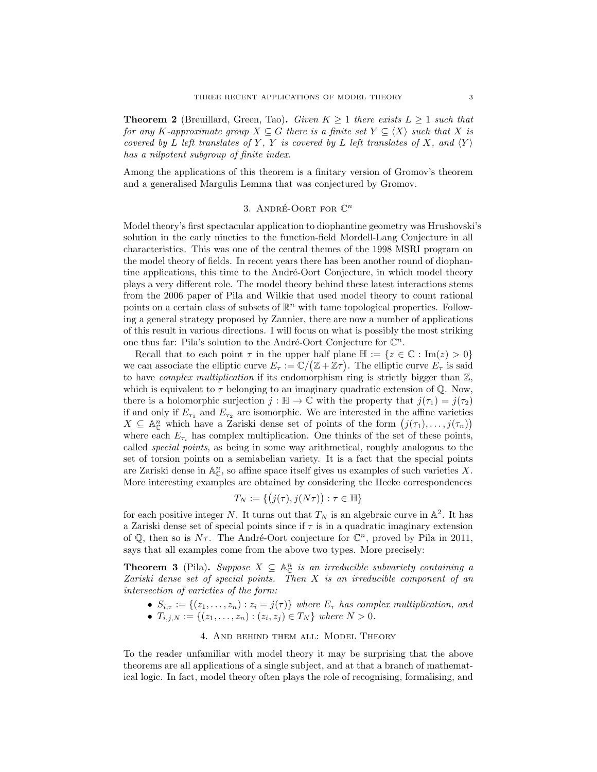**Theorem 2** (Breuillard, Green, Tao). Given  $K \geq 1$  there exists  $L \geq 1$  such that for any K-approximate group  $X \subseteq G$  there is a finite set  $Y \subseteq \langle X \rangle$  such that X is covered by L left translates of Y, Y is covered by L left translates of X, and  $\langle Y \rangle$ has a nilpotent subgroup of finite index.

Among the applications of this theorem is a finitary version of Gromov's theorem and a generalised Margulis Lemma that was conjectured by Gromov.

# 3. ANDRÉ-OORT FOR  $\mathbb{C}^n$

Model theory's first spectacular application to diophantine geometry was Hrushovski's solution in the early nineties to the function-field Mordell-Lang Conjecture in all characteristics. This was one of the central themes of the 1998 MSRI program on the model theory of fields. In recent years there has been another round of diophantine applications, this time to the André-Oort Conjecture, in which model theory plays a very different role. The model theory behind these latest interactions stems from the 2006 paper of Pila and Wilkie that used model theory to count rational points on a certain class of subsets of  $\mathbb{R}^n$  with tame topological properties. Following a general strategy proposed by Zannier, there are now a number of applications of this result in various directions. I will focus on what is possibly the most striking one thus far: Pila's solution to the André-Oort Conjecture for  $\mathbb{C}^n$ .

Recall that to each point  $\tau$  in the upper half plane  $\mathbb{H} := \{z \in \mathbb{C} : \text{Im}(z) > 0\}$ we can associate the elliptic curve  $E_{\tau} := \mathbb{C}/(\mathbb{Z} + \mathbb{Z}\tau)$ . The elliptic curve  $E_{\tau}$  is said to have *complex multiplication* if its endomorphism ring is strictly bigger than  $\mathbb{Z}$ , which is equivalent to  $\tau$  belonging to an imaginary quadratic extension of  $\mathbb{Q}$ . Now, there is a holomorphic surjection  $j : \mathbb{H} \to \mathbb{C}$  with the property that  $j(\tau_1) = j(\tau_2)$ if and only if  $E_{\tau_1}$  and  $E_{\tau_2}$  are isomorphic. We are interested in the affine varieties  $X \subseteq \mathbb{A}_{\mathbb{C}}^n$  which have a Zariski dense set of points of the form  $(j(\tau_1), \ldots, j(\tau_n))$ where each  $E_{\tau_i}$  has complex multiplication. One thinks of the set of these points, called special points, as being in some way arithmetical, roughly analogous to the set of torsion points on a semiabelian variety. It is a fact that the special points are Zariski dense in  $\mathbb{A}_{\mathbb{C}}^n$ , so affine space itself gives us examples of such varieties X. More interesting examples are obtained by considering the Hecke correspondences

$$
T_N := \{ (j(\tau), j(N\tau)) : \tau \in \mathbb{H} \}
$$

for each positive integer N. It turns out that  $T_N$  is an algebraic curve in  $\mathbb{A}^2$ . It has a Zariski dense set of special points since if  $\tau$  is in a quadratic imaginary extension of  $\mathbb{Q}$ , then so is  $N\tau$ . The André-Oort conjecture for  $\mathbb{C}^n$ , proved by Pila in 2011, says that all examples come from the above two types. More precisely:

**Theorem 3** (Pila). Suppose  $X \subseteq \mathbb{A}_{\mathbb{C}}^n$  is an irreducible subvariety containing a Zariski dense set of special points. Then X is an irreducible component of an intersection of varieties of the form:

•  $S_{i,\tau} := \{(z_1,\ldots,z_n) : z_i = j(\tau)\}\$  where  $E_{\tau}$  has complex multiplication, and •  $T_{i,j,N} := \{(z_1, \ldots, z_n) : (z_i, z_j) \in T_N \}$  where  $N > 0$ .

### 4. And behind them all: Model Theory

To the reader unfamiliar with model theory it may be surprising that the above theorems are all applications of a single subject, and at that a branch of mathematical logic. In fact, model theory often plays the role of recognising, formalising, and